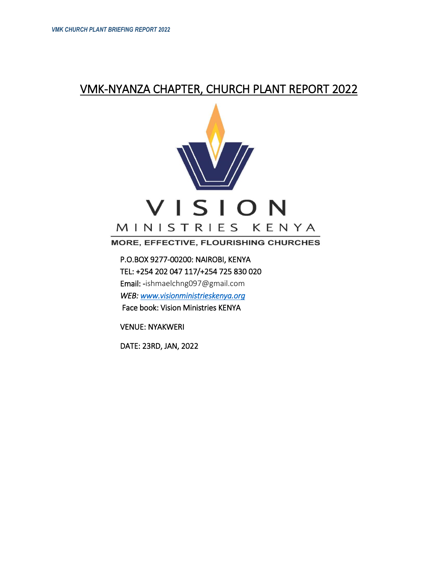# VMK-NYANZA CHAPTER, CHURCH PLANT REPORT 2022



## **MORE, EFFECTIVE, FLOURISHING CHURCHES**

 P.O.BOX 9277-00200: NAIROBI, KENYA TEL: +254 202 047 117/+254 725 830 020 Email: -ishmaelchng097@gmail.com  *WEB: [www.visionministrieskenya.org](http://www.visionministrieskenya.org/)*  Face book: Vision Ministries KENYA

VENUE: NYAKWERI

DATE: 23RD, JAN, 2022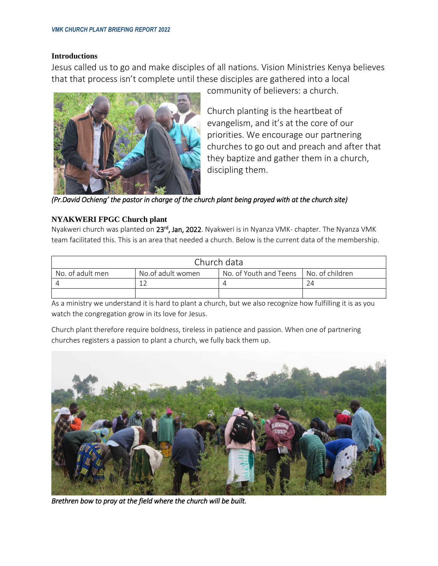#### **Introductions**

Jesus called us to go and make disciples of all nations. Vision Ministries Kenya believes that that process isn't complete until these disciples are gathered into a local



community of believers: a church.

Church planting is the heartbeat of evangelism, and it's at the core of our priorities. We encourage our partnering churches to go out and preach and after that they baptize and gather them in a church, discipling them.

*(Pr.David Ochieng' the pastor in charge of the church plant being prayed with at the church site)* 

### **NYAKWERI FPGC Church plant**

Nyakweri church was planted on 23<sup>rd</sup>, Jan, 2022. Nyakweri is in Nyanza VMK- chapter. The Nyanza VMK team facilitated this. This is an area that needed a church. Below is the current data of the membership.

| Church data      |                   |                                          |  |  |
|------------------|-------------------|------------------------------------------|--|--|
| No. of adult men | No.of adult women | No. of Youth and Teens   No. of children |  |  |
|                  |                   |                                          |  |  |
|                  |                   |                                          |  |  |

As a ministry we understand it is hard to plant a church, but we also recognize how fulfilling it is as you watch the congregation grow in its love for Jesus.

Church plant therefore require boldness, tireless in patience and passion. When one of partnering churches registers a passion to plant a church, we fully back them up.



*Brethren bow to pray at the field where the church will be built.*